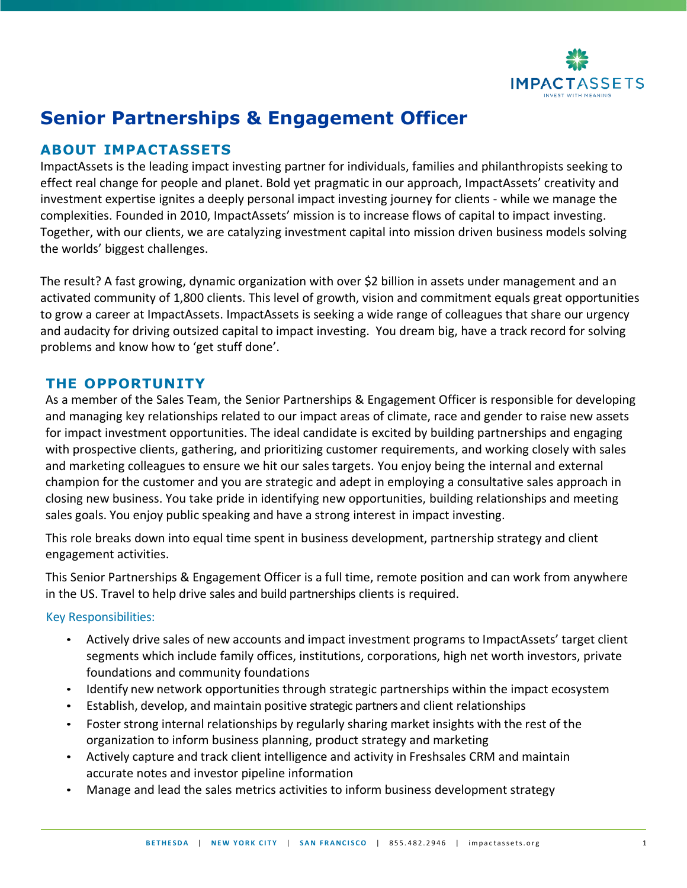

# **Senior Partnerships & Engagement Officer**

## **ABOUT IMPACTASSETS**

ImpactAssets is the leading impact investing partner for individuals, families and philanthropists seeking to effect real change for people and planet. Bold yet pragmatic in our approach, ImpactAssets' creativity and investment expertise ignites a deeply personal impact investing journey for clients - while we manage the complexities. Founded in 2010, ImpactAssets' mission is to increase flows of capital to impact investing. Together, with our clients, we are catalyzing investment capital into mission driven business models solving the worlds' biggest challenges.

The result? A fast growing, dynamic organization with over \$2 billion in assets under management and an activated community of 1,800 clients. This level of growth, vision and commitment equals great opportunities to grow a career at ImpactAssets. ImpactAssets is seeking a wide range of colleagues that share our urgency and audacity for driving outsized capital to impact investing. You dream big, have a track record for solving problems and know how to 'get stuff done'.

### **THE OPPORTUNITY**

As a member of the Sales Team, the Senior Partnerships & Engagement Officer is responsible for developing and managing key relationships related to our impact areas of climate, race and gender to raise new assets for impact investment opportunities. The ideal candidate is excited by building partnerships and engaging with prospective clients, gathering, and prioritizing customer requirements, and working closely with sales and marketing colleagues to ensure we hit our sales targets. You enjoy being the internal and external champion for the customer and you are strategic and adept in employing a consultative sales approach in closing new business. You take pride in identifying new opportunities, building relationships and meeting sales goals. You enjoy public speaking and have a strong interest in impact investing.

This role breaks down into equal time spent in business development, partnership strategy and client engagement activities.

This Senior Partnerships & Engagement Officer is a full time, remote position and can work from anywhere in the US. Travel to help drive sales and build partnerships clients is required.

#### Key Responsibilities:

- Actively drive sales of new accounts and impact investment programs to ImpactAssets' target client segments which include family offices, institutions, corporations, high net worth investors, private foundations and community foundations
- Identify new network opportunities through strategic partnerships within the impact ecosystem
- Establish, develop, and maintain positive strategic partners and client relationships
- Foster strong internal relationships by regularly sharing market insights with the rest of the organization to inform business planning, product strategy and marketing
- Actively capture and track client intelligence and activity in Freshsales CRM and maintain accurate notes and investor pipeline information
- Manage and lead the sales metrics activities to inform business development strategy